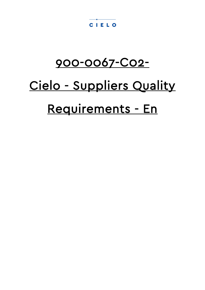#### CIELO

## 900-0067-C02-

# Cielo - Suppliers Quality Requirements - En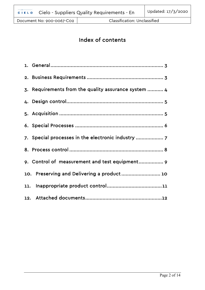| 3. Requirements from the quality assurance system  4 |
|------------------------------------------------------|
|                                                      |
|                                                      |
|                                                      |
| 7. Special processes in the electronic industry      |
|                                                      |
| 9. Control of measurement and test equipment 9       |
| 10. Preserving and Delivering a product 10           |
|                                                      |
|                                                      |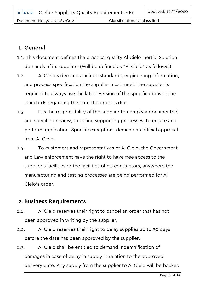#### <span id="page-2-0"></span>1. General

- 1.1. This document defines the practical quality Al Cielo Inertial Solution demands of its suppliers (Will be defined as "Al Cielo" as follows.)
- 1.2. Al Cielo's demands include standards, engineering information, and process specification the supplier must meet. The supplier is required to always use the latest version of the specifications or the standards regarding the date the order is due.
- 1.3. It is the responsibility of the supplier to comply a documented and specified review, to define supporting processes, to ensure and perform application. Specific exceptions demand an official approval from Al Cielo.
- 1.4. To customers and representatives of Al Cielo, the Government and Law enforcement have the right to have free access to the supplier's facilities or the facilities of his contractors, anywhere the manufacturing and testing processes are being performed for Al Cielo's order.

#### <span id="page-2-1"></span>2. Business Requirements

- 2.1. Al Cielo reserves their right to cancel an order that has not been approved in writing by the supplier.
- 2.2. Al Cielo reserves their right to delay supplies up to 30 days before the date has been approved by the supplier.
- 2.3. Al Cielo shall be entitled to demand Indemnification of damages in case of delay in supply in relation to the approved delivery date. Any supply from the supplier to Al Cielo will be backed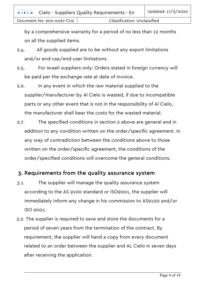by a comprehensive warranty for a period of no less than 12 months on all the supplied items.

- 2.4. All goods supplied are to be without any export limitations and/or end-use/end-user limitations.
- 2.5. For Israeli suppliers only: Orders stated in foreign currency will be paid per the exchange rate at date of invoice.
- 2.6. In any event in which the raw material supplied to the supplier/manufacturer by Al Cielo is wasted, if due to incompatible parts or any other event that is not in the responsibility of Al Cielo, the manufacturer shall bear the costs for the wasted material.
- 2.7. The specified conditions in section 2 above are general and in addition to any condition written on the order/specific agreement. In any way of contradiction between the conditions above to those written on the order/specific agreement, the conditions of the order/specified conditions will overcome the general conditions.

#### <span id="page-3-0"></span>3. Requirements from the quality assurance system

- 3.1. The supplier will manage the quality assurance system according to the AS 9100 standard or ISO9001, the supplier will immediately inform any change in his commission to AS9100 and/or ISO 9001.
- 3.2. The supplier is required to save and store the documents for a period of seven years from the termination of the contract. By requirement, the supplier will hand a copy from every document related to an order between the supplier and AL Cielo in seven days after receiving the application.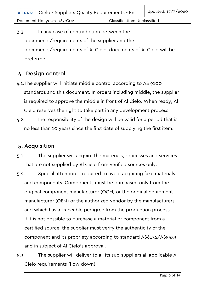3.3. In any case of contradiction between the documents/requirements of the supplier and the documents/requirements of Al Cielo, documents of Al Cielo will be preferred.

#### <span id="page-4-0"></span>4. Design control

- 4.1.The supplier will initiate middle control according to AS 9100 standards and this document. In orders including middle, the supplier is required to approve the middle in front of Al Cielo. When ready, Al Cielo reserves the right to take part in any development process.
- 4.2. The responsibility of the design will be valid for a period that is no less than 10 years since the first date of supplying the first item.

#### <span id="page-4-1"></span>5. Acquisition

- 5.1. The supplier will acquire the materials, processes and services that are not supplied by Al Cielo from verified sources only.
- 5.2. Special attention is required to avoid acquiring fake materials and components. Components must be purchased only from the original component manufacturer (OCM) or the original equipment manufacturer (OEM) or the authorized vendor by the manufacturers and which has a traceable pedigree from the production process. If it is not possible to purchase a material or component from a certified source, the supplier must verify the authenticity of the component and its propriety according to standard AS6174/AS5553 and in subject of Al Cielo's approval.
- 5.3. The supplier will deliver to all its sub-suppliers all applicable Al Cielo requirements (flow down).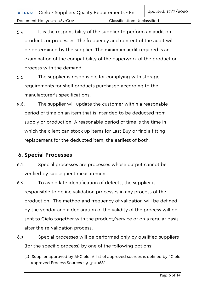- 5.4. It is the responsibility of the supplier to perform an audit on products or processes. The frequency and content of the audit will be determined by the supplier. The minimum audit required is an examination of the compatibility of the paperwork of the product or process with the demand.
- 5.5. The supplier is responsible for complying with storage requirements for shelf products purchased according to the manufacturer's specifications.
- 5.6. The supplier will update the customer within a reasonable period of time on an item that is intended to be deducted from supply or production. A reasonable period of time is the time in which the client can stock up items for Last Buy or find a fitting replacement for the deducted item, the earliest of both.

#### <span id="page-5-0"></span>6. Special Processes

- 6.1. Special processes are processes whose output cannot be verified by subsequent measurement.
- 6.2. To avoid late identification of defects, the supplier is responsible to define validation processes in any process of the production. The method and frequency of validation will be defined by the vendor and a declaration of the validity of the process will be sent to Cielo together with the product/service or on a regular basis after the re-validation process.
- 6.3. Special processes will be performed only by qualified suppliers (for the specific process) by one of the following options:
	- (1) Supplier approved by Al-Cielo. A list of approved sources is defined by "Cielo Approved Process Sources - 913-0068".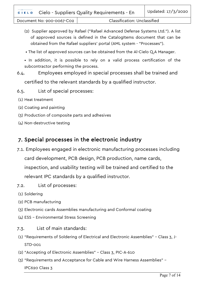Document No: 900-0067-C02 | Classification: Unclassified

- (2) Supplier approved by Rafael ("Rafael Advanced Defense Systems Ltd."). A list of approved sources is defined in the CatalogItems document that can be obtained from the Rafael suppliers' portal (AML system - "Processes").
- The list of approved sources can be obtained from the Al-Cielo Q.A Manager.
- In addition, it is possible to rely on a valid process certification of the subcontractor performing the process.
- 6.4. Employees employed in special processes shall be trained and certified to the relevant standards by a qualified instructor.
- 6.5. List of special processes:
- (1) Heat treatment
- (2) Coating and painting
- (3) Production of composite parts and adhesives
- (4) Non-destructive testing

#### <span id="page-6-0"></span>7. Special processes in the electronic industry

- 7.1. Employees engaged in electronic manufacturing processes including card development, PCB design, PCB production, name cards, inspection, and usability testing will be trained and certified to the relevant IPC standards by a qualified instructor.
- 7.2. List of processes:
- (1) Soldering
- (2) PCB manufacturing
- (3) Electronic cards Assemblies manufacturing and Conformal coating
- (4) ESS Environmental Stress Screening
- 7.3. List of main standards:
- (1) "Requirements of Soldering of Electrical and Electronic Assemblies" Class 3, J-STD-001
- (2) "Accepting of Electronic Assemblies" Class 3, PIC-A-610
- (3) "Requirements and Acceptance for Cable and Wire Harness Assemblies" IPC620 Class 3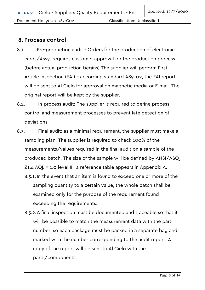#### <span id="page-7-0"></span>8. Process control

- 8.1. Pre-production audit Orders for the production of electronic cards/Assy. requires customer approval for the production process (before actual production begins).The supplier will perform First Article Inspection (FAI) – according standard AS9102, the FAI report will be sent to Al Cielo for approval on magnetic media or E-mail. The original report will be kept by the supplier.
- 8.2. In-process audit: The supplier is required to define process control and measurement processes to prevent late detection of deviations.
- 8.3. Final audit: as a minimal requirement, the supplier must make a sampling plan. The supplier is required to check 100% of the measurements/values required in the final audit on a sample of the produced batch. The size of the sample will be defined by ANSI/ASQ Z1.4 AQL = 1.0 level III, a reference table appears in Appendix A.
	- 8.3.1. In the event that an item is found to exceed one or more of the sampling quantity to a certain value, the whole batch shall be examined only for the purpose of the requirement found exceeding the requirements.
	- 8.3.2.A final inspection must be documented and traceable so that it will be possible to match the measurement data with the part number, so each package must be packed in a separate bag and marked with the number corresponding to the audit report. A copy of the report will be sent to Al Cielo with the parts/components.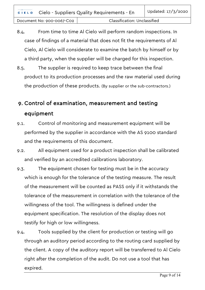8.4. From time to time Al Cielo will perform random inspections. In case of findings of a material that does not fit the requirements of Al Cielo, Al Cielo will considerate to examine the batch by himself or by a third party, when the supplier will be charged for this inspection.

8.5. The supplier is required to keep trace between the final product to its production processes and the raw material used during the production of these products. (By supplier or the sub-contractors.)

### <span id="page-8-0"></span>9. Control of examination, measurement and testing equipment

- 9.1. Control of monitoring and measurement equipment will be performed by the supplier in accordance with the AS 9100 standard and the requirements of this document.
- 9.2. All equipment used for a product inspection shall be calibrated and verified by an accredited calibrations laboratory.
- 9.3. The equipment chosen for testing must be in the accuracy which is enough for the tolerance of the testing measure. The result of the measurement will be counted as PASS only if it withstands the tolerance of the measurement in correlation with the tolerance of the willingness of the tool. The willingness is defined under the equipment specification. The resolution of the display does not testify for high or low willingness.
- <span id="page-8-1"></span>9.4. Tools supplied by the client for production or testing will go through an auditory period according to the routing card supplied by the client. A copy of the auditory report will be transferred to Al Cielo right after the completion of the audit. Do not use a tool that has expired.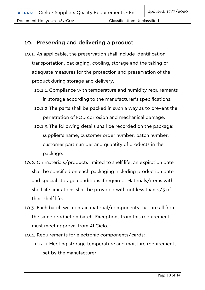#### 10. Preserving and delivering a product

- 10.1. As applicable, the preservation shall include identification, transportation, packaging, cooling, storage and the taking of adequate measures for the protection and preservation of the product during storage and delivery.
	- 10.1.1. Compliance with temperature and humidity requirements in storage according to the manufacturer's specifications.
	- 10.1.2.The parts shall be packed in such a way as to prevent the penetration of FOD corrosion and mechanical damage.
	- 10.1.3.The following details shall be recorded on the package: supplier's name, customer order number, batch number, customer part number and quantity of products in the package.
- 10.2. On materials/products limited to shelf life, an expiration date shall be specified on each packaging including production date and special storage conditions if required. Materials/items with shelf life limitations shall be provided with not less than 2/3 of their shelf life.
- 10.3. Each batch will contain material/components that are all from the same production batch. Exceptions from this requirement must meet approval from Al Cielo.
- 10.4. Requirements for electronic components/cards: 10.4.1.Meeting storage temperature and moisture requirements set by the manufacturer.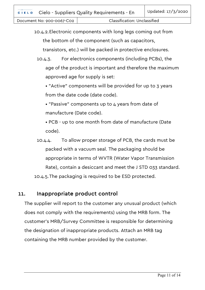10.4.2.Electronic components with long legs coming out from the bottom of the component (such as capacitors, transistors, etc.) will be packed in protective enclosures.

10.4.3. For electronics components (including PCBs), the age of the product is important and therefore the maximum approved age for supply is set:

• "Active" components will be provided for up to 3 years from the date code (date code).

• "Passive" components up to 4 years from date of manufacture (Date code).

• PCB - up to one month from date of manufacture (Date code).

10.4.4. To allow proper storage of PCB, the cards must be packed with a vacuum seal. The packaging should be appropriate in terms of WVTR (Water Vapor Transmission Rate), contain a desiccant and meet the J STD 033 standard. 10.4.5.The packaging is required to be ESD protected.

#### <span id="page-10-0"></span>11. Inappropriate product control

<span id="page-10-1"></span>The supplier will report to the customer any unusual product (which does not comply with the requirements) using the MRB form. The customer's MRB/Survey Committee is responsible for determining the designation of inappropriate products. Attach an MRB tag containing the MRB number provided by the customer.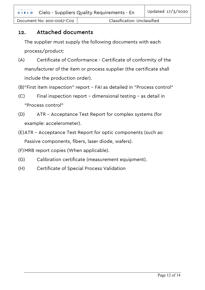#### 12. Attached documents

The supplier must supply the following documents with each process/product:

- (A) Certificate of Conformance Certificate of conformity of the manufacturer of the item or process supplier (the certificate shall include the production order).
- (B)"First item inspection" report FAI as detailed in "Process control"
- (C) Final inspection report dimensional testing as detail in "Process control"
- (D) ATR Acceptance Test Report for complex systems (for example: accelerometer).
- (E)ATR Acceptance Test Report for optic components (such as: Passive components, fibers, laser diode, wafers).

(F)MRB report copies (When applicable).

- (G) Calibration certificate (measurement equipment).
- (H) Certificate of Special Process Validation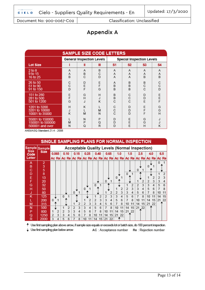Document No: 900-0067-C02 | Classification: Unclassified

#### Appendix A

| <b>SAMPLE SIZE CODE LETTERS</b>                        |             |                                  |             |                                  |             |             |                |  |  |  |
|--------------------------------------------------------|-------------|----------------------------------|-------------|----------------------------------|-------------|-------------|----------------|--|--|--|
|                                                        |             | <b>General Inspection Levels</b> |             | <b>Special Inspection Levels</b> |             |             |                |  |  |  |
| <b>Lot Size</b>                                        |             | Ш                                | Ш           | S1                               | S2          | S3          | S <sub>4</sub> |  |  |  |
| 2 to 8<br>9 to 15<br>16 to 25                          | Α<br>Α<br>B | Α<br>B<br>C                      | B<br>С<br>D | A<br>Α<br>A                      | A<br>Α<br>A | A<br>Α<br>B | Α<br>Α<br>B    |  |  |  |
| 26 to 50<br>51 to 90<br>91 to 150                      | С<br>С<br>D | D<br>E<br>F                      | Ε<br>F<br>G | A<br>B<br>B                      | B<br>B<br>B | B<br>C<br>C | С<br>C<br>D    |  |  |  |
| 151 to 280<br>281 to 500<br>501 to 1200                | E<br>F<br>G | G<br>H<br>J                      | Н<br>J<br>κ | B<br>B<br>C                      | С<br>C<br>C | D<br>D<br>E | E<br>E<br>F    |  |  |  |
| 1201 to 3200<br>3201 to 10000<br>10001 to 35000        | Н<br>J<br>K | κ<br>M                           | м<br>N      | С<br>С<br>Ċ                      | D<br>D<br>D | E<br>F<br>F | G<br>G<br>H    |  |  |  |
| 35001 to 150000<br>150001 to 500000<br>500001 and over | M<br>N      | N<br>P<br>Q                      | P<br>Q<br>R | D<br>D<br>D                      | Ε<br>E<br>E | G<br>G<br>н | J<br>J<br>κ    |  |  |  |

ANSI/ASQ Standard Z1.4 - 2008

| SINGLE SAMPLING PLANS FOR NORMAL INSPECTION |                |                                                      |       |          |      |                          |   |          |      |                          |                |                |    |    |     |          |               |                                                                         |    |     |    |    |     |
|---------------------------------------------|----------------|------------------------------------------------------|-------|----------|------|--------------------------|---|----------|------|--------------------------|----------------|----------------|----|----|-----|----------|---------------|-------------------------------------------------------------------------|----|-----|----|----|-----|
| Sample Sample<br><b>Size</b>                |                | <b>Acceptable Quality Levels (Normal Inspection)</b> |       |          |      |                          |   |          |      |                          |                |                |    |    |     |          |               |                                                                         |    |     |    |    |     |
| Code                                        | <b>Size</b>    |                                                      | 0.065 |          | 0.10 | 0.15                     |   |          | 0.25 |                          | 0.40           | 0.65           |    |    | 1.0 |          | 1.5           | 2.5                                                                     |    | 4.0 |    |    | 6.5 |
| Letter                                      |                |                                                      |       |          |      |                          |   |          |      |                          |                |                |    |    |     |          |               | Ac Re Ac Re Ac Re Ac Re Ac Re Ac Re Ac Re Ac Re Ac Re Ac Re Ac Re Ac Re |    |     |    |    |     |
| А                                           | $\overline{2}$ |                                                      |       |          |      |                          |   |          |      |                          |                |                |    |    |     |          |               |                                                                         |    |     |    | o  |     |
| в                                           | 3              |                                                      |       |          |      |                          |   |          |      |                          |                |                |    |    |     |          |               |                                                                         |    |     |    |    |     |
| C                                           | 5              |                                                      |       |          |      |                          |   |          |      |                          |                |                |    |    |     |          |               | $\Omega$                                                                |    |     |    |    |     |
| D                                           | 8              |                                                      |       |          |      |                          |   |          |      |                          |                |                |    |    |     | $\Omega$ |               |                                                                         |    |     |    |    |     |
| E                                           | 13             |                                                      |       |          |      |                          |   |          |      |                          |                |                |    | o  |     |          |               |                                                                         |    |     |    |    |     |
| F                                           | 20             |                                                      |       |          |      |                          |   |          |      |                          |                | $\Omega$       |    |    |     |          |               |                                                                         |    |     | 3  | 3  |     |
| G                                           | 32             |                                                      |       |          |      |                          |   |          |      | n                        |                |                |    |    |     |          | $\mathcal{P}$ | $\mathfrak{D}$                                                          | 3  | 3   | 4  | 5  |     |
| н                                           | 50             |                                                      |       |          |      |                          |   | $\Omega$ |      |                          |                |                |    |    |     | 2        | 3             | 3                                                                       | 4  | 5   | 6  |    |     |
| J                                           | 80             |                                                      |       |          |      | $\Omega$                 |   |          |      |                          |                |                | 2  | フ  | 3   | 3        | 4             | 5                                                                       | 6  |     | 8  | 10 |     |
| κ                                           | 125            |                                                      |       | $\Omega$ |      |                          |   |          |      |                          | $\overline{2}$ | $\overline{2}$ | 3  | 3  | 4   | 5        | 6             | 7                                                                       | 8  | 10  |    | 14 | 15  |
|                                             | 200            | $\Omega$                                             |       |          |      |                          |   |          | 2    | $\overline{\phantom{a}}$ | 3              | 3              | 4  | 5  | 6   | 7        | 8             | 10                                                                      |    | 14  | 15 | 21 | 22  |
| м                                           | 315            |                                                      |       |          |      |                          |   | 2        | 3    | 3                        | 4              | 5              | 6  | 7  | 8   | 10       |               | 14                                                                      | 15 | 21  | 22 |    |     |
| N                                           | 500            |                                                      |       |          | 2    | $\overline{\phantom{a}}$ | ٦ | 3        | 4    | 5                        | 6              | 7              | 8  | 10 |     | 14       | 15            | 21 22                                                                   |    |     |    |    |     |
| P                                           | 800            |                                                      | 2     | 2        | 3    | 3                        | 4 | 5        | 6    | 7                        | 8              | 10             |    | 14 | 15  | 21       | 22            |                                                                         |    |     |    |    |     |
| Q                                           | 1250           | 2                                                    |       | 3        | 4    | 5                        | 6 |          | 8    | 10                       |                | 14             | 15 | 21 | 22  |          |               |                                                                         |    |     |    |    |     |
| R                                           | 2000           | 3                                                    | 4     | 5        | 6    |                          | 8 | 10       | 11   | 14                       | 15             | 21             | 22 |    |     |          |               |                                                                         |    |     |    |    |     |

<sup>1</sup> Use first sampling plan above arrow, if sample size equals or exceeds lot or batch size, do 100 percent inspection.

 $\downarrow$  Use first sampling plan below arrow

AC : Acceptance number Re : Rejection number